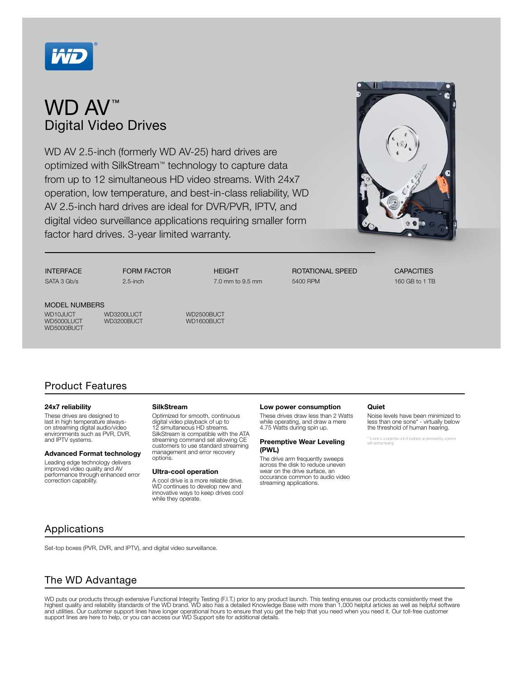

# WD AV<sup>™</sup> Digital Video Drives

WD AV 2.5-inch (formerly WD AV-25) hard drives are optimized with SilkStream™ technology to capture data from up to 12 simultaneous HD video streams. With 24x7 operation, low temperature, and best-in-class reliability, WD AV 2.5-inch hard drives are ideal for DVR/PVR, IPTV, and digital video surveillance applications requiring smaller form factor hard drives. 3-year limited warranty.



**INTERFACE** SATA 3 Gb/s

FORM FACTOR

2.5-inch

**HEIGHT** 7.0 mm to 9.5 mm ROTATIONAL SPEED 5400 RPM

**CAPACITIES** 160 GB to 1 TB

MODEL NUMBERS WD5000BUCT

WORLOUT MEXICOLOGY WORLOU WORLOUGH WORLOUGH WORLOUGH WORLOUGH WORLOUGH WORLOUGH WORLOUGH WORLOUGH WORLOUGH WOR<br>WORLOUGH WORLOUGH WORLOUGH WORLOUGH WORLOUGH WORLOUGH WORLOUGH WORLOUGH WORLOUGH WORLOUGH WORLOUGH WORLOUGH WO WD3200BUCT

Product Features

#### 24x7 reliability

These drives are designed to last in high temperature alwayson streaming digital audio/video environments such as PVR, DVR, and IPTV systems.

#### Advanced Format technology

Leading edge technology delivers improved video quality and AV performance through enhanced error correction capability.

#### **SilkStream**

Optimized for smooth, continuous digital video playback of up to 12 simultaneous HD streams. SilkStream is compatible with the ATA streaming command set allowing CE customers to use standard streaming management and error recovery options.

#### Ultra-cool operation

A cool drive is a more reliable drive. WD continues to develop new and innovative ways to keep drives cool while they operate.

#### Low power consumption

These drives draw less than 2 Watts while operating, and draw a mere 4.75 Watts during spin up.

### Preemptive Wear Leveling (PWL)

The drive arm frequently sweeps across the disk to reduce uneven wear on the drive surface, an occurance common to audio video streaming applications.

#### **Quiet**

Noise levels have been minimized to less than one sone\* - virtually below the threshold of human hearing.

\* A sone is a subjective unit of loudness as perceived by a person with normal hearing.

## Applications

Set-top boxes (PVR, DVR, and IPTV), and digital video surveillance.

# The WD Advantage

WD puts our products through extensive Functional Integrity Testing (F.I.T.) prior to any product launch. This testing ensures our products consistently meet the highest quality and reliability standards of the WD brand. WD also has a detailed Knowledge Base with more than 1,000 helpful articles as well as helpful software<br>and utilities. Our customer support lines have longer opera